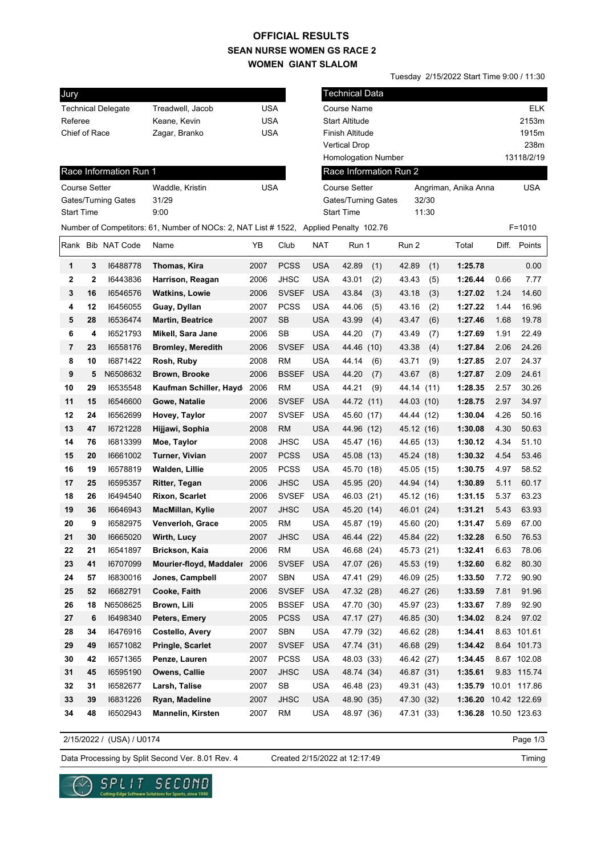### **SEAN NURSE WOMEN GS RACE 2 WOMEN GIANT SLALOM OFFICIAL RESULTS**

Tuesday 2/15/2022 Start Time 9:00 / 11:30

| Jury                 |              |                           |                                                                                       |            |              |            | <b>Technical Data</b>      |            |       |                      |      |              |
|----------------------|--------------|---------------------------|---------------------------------------------------------------------------------------|------------|--------------|------------|----------------------------|------------|-------|----------------------|------|--------------|
|                      |              | <b>Technical Delegate</b> | Treadwell, Jacob                                                                      | <b>USA</b> |              |            | Course Name                |            |       |                      |      | <b>ELK</b>   |
| Referee              |              |                           | Keane, Kevin                                                                          | <b>USA</b> |              |            | <b>Start Altitude</b>      |            |       |                      |      | 2153m        |
| Chief of Race        |              |                           | Zagar, Branko                                                                         | <b>USA</b> |              |            | Finish Altitude            |            |       |                      |      | 1915m        |
|                      |              |                           |                                                                                       |            |              |            | <b>Vertical Drop</b>       |            |       |                      |      | 238m         |
|                      |              |                           |                                                                                       |            |              |            | <b>Homologation Number</b> |            |       |                      |      | 13118/2/19   |
|                      |              | Race Information Run 1    |                                                                                       |            |              |            | Race Information Run 2     |            |       |                      |      |              |
| <b>Course Setter</b> |              |                           | Waddle, Kristin                                                                       | <b>USA</b> |              |            | <b>Course Setter</b>       |            |       | Angriman, Anika Anna |      | USA          |
|                      |              | Gates/Turning Gates       | 31/29                                                                                 |            |              |            | Gates/Turning Gates        |            | 32/30 |                      |      |              |
| <b>Start Time</b>    |              |                           | 9:00                                                                                  |            |              |            | <b>Start Time</b>          |            | 11:30 |                      |      |              |
|                      |              |                           | Number of Competitors: 61, Number of NOCs: 2, NAT List # 1522, Applied Penalty 102.76 |            |              |            |                            |            |       |                      |      | $F = 1010$   |
|                      |              | Rank Bib NAT Code         | Name                                                                                  | ΥB         | Club         | <b>NAT</b> | Run 1                      | Run 2      |       | Total                |      | Diff. Points |
| 1                    | 3            | 16488778                  | Thomas, Kira                                                                          | 2007       | <b>PCSS</b>  | <b>USA</b> | 42.89<br>(1)               | 42.89      | (1)   | 1:25.78              |      | 0.00         |
| $\mathbf 2$          | $\mathbf{2}$ | 16443836                  | Harrison, Reagan                                                                      | 2006       | <b>JHSC</b>  | <b>USA</b> | 43.01<br>(2)               | 43.43      | (5)   | 1:26.44              | 0.66 | 7.77         |
| 3                    | 16           | 16546576                  | <b>Watkins, Lowie</b>                                                                 | 2006       | <b>SVSEF</b> | <b>USA</b> | 43.84<br>(3)               | 43.18      | (3)   | 1:27.02              | 1.24 | 14.60        |
| 4                    | 12           | 16456055                  | Guay, Dyllan                                                                          | 2007       | <b>PCSS</b>  | <b>USA</b> | 44.06<br>(5)               | 43.16      | (2)   | 1:27.22              | 1.44 | 16.96        |
| 5                    | 28           | 16536474                  | <b>Martin, Beatrice</b>                                                               | 2007       | <b>SB</b>    | <b>USA</b> | 43.99<br>(4)               | 43.47      | (6)   | 1:27.46              | 1.68 | 19.78        |
| 6                    | 4            | 16521793                  | Mikell, Sara Jane                                                                     | 2006       | SB           | <b>USA</b> | 44.20<br>(7)               | 43.49      | (7)   | 1:27.69              | 1.91 | 22.49        |
| 7                    | 23           | 16558176                  | <b>Bromley, Meredith</b>                                                              | 2006       | <b>SVSEF</b> | <b>USA</b> | 44.46<br>(10)              | 43.38      | (4)   | 1:27.84              | 2.06 | 24.26        |
| 8                    | 10           | 16871422                  | Rosh, Ruby                                                                            | 2008       | <b>RM</b>    | <b>USA</b> | 44.14<br>(6)               | 43.71      | (9)   | 1:27.85              | 2.07 | 24.37        |
| 9                    | 5            | N6508632                  | <b>Brown, Brooke</b>                                                                  | 2006       | <b>BSSEF</b> | <b>USA</b> | 44.20<br>(7)               | 43.67      | (8)   | 1:27.87              | 2.09 | 24.61        |
| 10                   | 29           | 16535548                  | Kaufman Schiller, Hayd                                                                | 2006       | <b>RM</b>    | <b>USA</b> | 44.21<br>(9)               | 44.14 (11) |       | 1:28.35              | 2.57 | 30.26        |
| 11                   | 15           | 16546600                  | Gowe, Natalie                                                                         | 2006       | <b>SVSEF</b> | <b>USA</b> | 44.72 (11)                 | 44.03 (10) |       | 1:28.75              | 2.97 | 34.97        |
| 12                   | 24           | 16562699                  | Hovey, Taylor                                                                         | 2007       | <b>SVSEF</b> | <b>USA</b> | 45.60 (17)                 | 44.44 (12) |       | 1:30.04              | 4.26 | 50.16        |
| 13                   | 47           | 16721228                  | Hijjawi, Sophia                                                                       | 2008       | <b>RM</b>    | <b>USA</b> | 44.96 (12)                 | 45.12 (16) |       | 1:30.08              | 4.30 | 50.63        |
| 14                   | 76           | 16813399                  | Moe, Taylor                                                                           | 2008       | <b>JHSC</b>  | <b>USA</b> | 45.47 (16)                 | 44.65 (13) |       | 1:30.12              | 4.34 | 51.10        |
| 15                   | 20           | 16661002                  | <b>Turner, Vivian</b>                                                                 | 2007       | <b>PCSS</b>  | <b>USA</b> | 45.08 (13)                 | 45.24 (18) |       | 1:30.32              | 4.54 | 53.46        |
| 16                   | 19           | 16578819                  | Walden, Lillie                                                                        | 2005       | <b>PCSS</b>  | <b>USA</b> | 45.70 (18)                 | 45.05 (15) |       | 1:30.75              | 4.97 | 58.52        |
| 17                   | 25           | 16595357                  | <b>Ritter, Tegan</b>                                                                  | 2006       | <b>JHSC</b>  | <b>USA</b> | 45.95 (20)                 | 44.94 (14) |       | 1:30.89              | 5.11 | 60.17        |
| 18                   | 26           | 16494540                  | <b>Rixon, Scarlet</b>                                                                 | 2006       | <b>SVSEF</b> | <b>USA</b> | 46.03 (21)                 | 45.12 (16) |       | 1:31.15              | 5.37 | 63.23        |
| 19                   | 36           | 16646943                  | MacMillan, Kylie                                                                      | 2007       | <b>JHSC</b>  | <b>USA</b> | 45.20 (14)                 | 46.01 (24) |       | 1:31.21              | 5.43 | 63.93        |
| 20                   | 9            | 16582975                  | <b>Venverloh, Grace</b>                                                               | 2005       | <b>RM</b>    | <b>USA</b> | 45.87 (19)                 | 45.60 (20) |       | 1:31.47              | 5.69 | 67.00        |
| 21                   | 30           | 16665020                  | Wirth, Lucy                                                                           | 2007       | <b>JHSC</b>  | <b>USA</b> | 46.44 (22)                 | 45.84 (22) |       | 1:32.28              | 6.50 | 76.53        |
| 22                   | 21           | 16541897                  | Brickson, Kaia                                                                        | 2006       | <b>RM</b>    | <b>USA</b> | 46.68 (24)                 | 45.73 (21) |       | 1:32.41              | 6.63 | 78.06        |
| 23                   | 41           | 16707099                  | Mourier-floyd, Maddaler                                                               | 2006       | <b>SVSEF</b> | <b>USA</b> | 47.07 (26)                 | 45.53 (19) |       | 1:32.60              | 6.82 | 80.30        |
| 24                   | 57           | 16830016                  | Jones, Campbell                                                                       | 2007       | SBN          | <b>USA</b> | 47.41 (29)                 | 46.09 (25) |       | 1:33.50              | 7.72 | 90.90        |
| 25                   | 52           | 16682791                  | Cooke, Faith                                                                          | 2006       | <b>SVSEF</b> | <b>USA</b> | 47.32 (28)                 | 46.27 (26) |       | 1:33.59              | 7.81 | 91.96        |
| 26                   | 18           | N6508625                  | Brown, Lili                                                                           | 2005       | <b>BSSEF</b> | <b>USA</b> | 47.70 (30)                 | 45.97 (23) |       | 1:33.67              | 7.89 | 92.90        |
| 27                   | 6            | 16498340                  | Peters, Emery                                                                         | 2005       | <b>PCSS</b>  | <b>USA</b> | 47.17 (27)                 | 46.85 (30) |       | 1:34.02              | 8.24 | 97.02        |
| 28                   | 34           | 16476916                  | Costello, Avery                                                                       | 2007       | SBN          | <b>USA</b> | 47.79 (32)                 | 46.62 (28) |       | 1:34.41              |      | 8.63 101.61  |
| 29                   | 49           | 16571082                  | Pringle, Scarlet                                                                      | 2007       | <b>SVSEF</b> | <b>USA</b> | 47.74 (31)                 | 46.68 (29) |       | 1:34.42              |      | 8.64 101.73  |
| 30                   | 42           | 16571365                  | Penze, Lauren                                                                         | 2007       | <b>PCSS</b>  | <b>USA</b> | 48.03 (33)                 | 46.42 (27) |       | 1:34.45              |      | 8.67 102.08  |
| 31                   | 45           | 16595190                  | Owens, Callie                                                                         | 2007       | <b>JHSC</b>  | <b>USA</b> | 48.74 (34)                 | 46.87 (31) |       | 1:35.61              |      | 9.83 115.74  |
| 32                   | 31           | 16582677                  | Larsh, Talise                                                                         | 2007       | SB           | <b>USA</b> | 46.48 (23)                 | 49.31 (43) |       | 1:35.79              |      | 10.01 117.86 |
| 33                   | 39           | 16831226                  | Ryan, Madeline                                                                        | 2007       | <b>JHSC</b>  | <b>USA</b> | 48.90 (35)                 | 47.30 (32) |       | 1:36.20              |      | 10.42 122.69 |
| 34                   | 48           | 16502943                  | Mannelin, Kirsten                                                                     | 2007       | <b>RM</b>    | <b>USA</b> | 48.97 (36)                 | 47.31 (33) |       | 1:36.28 10.50 123.63 |      |              |

2/15/2022 / (USA) / U0174

 $\checkmark$ 

Page 1/3

Data Processing by Split Second Ver. 8.01 Rev. 4 Created 2/15/2022 at 12:17:49

SPLIT SECOND

re Solutions for Sports, since 1990

Created 2/15/2022 at 12:17:49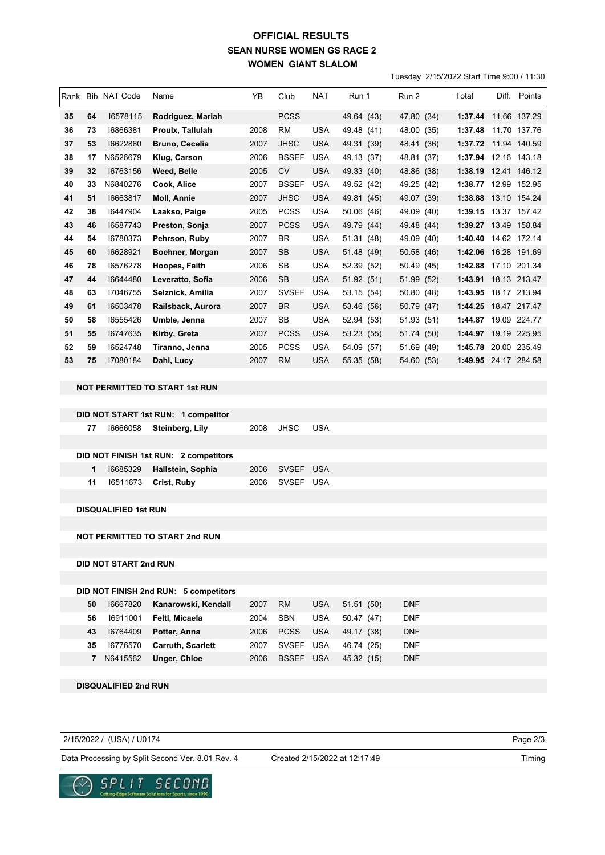## **SEAN NURSE WOMEN GS RACE 2 WOMEN GIANT SLALOM OFFICIAL RESULTS**

Tuesday 2/15/2022 Start Time 9:00 / 11:30

| Rank | <b>Bib</b> | NAT Code | Name                    | YB   | Club         | <b>NAT</b> | Run 1      | Run 2         | Total   | Diff. | Points       |
|------|------------|----------|-------------------------|------|--------------|------------|------------|---------------|---------|-------|--------------|
| 35   | 64         | 16578115 | Rodriguez, Mariah       |      | <b>PCSS</b>  |            | 49.64 (43) | 47.80 (34)    | 1:37.44 |       | 11.66 137.29 |
| 36   | 73         | 16866381 | <b>Proulx. Tallulah</b> | 2008 | <b>RM</b>    | <b>USA</b> | 49.48 (41) | 48.00 (35)    | 1:37.48 |       | 11.70 137.76 |
| 37   | 53         | 16622860 | <b>Bruno, Cecelia</b>   | 2007 | <b>JHSC</b>  | <b>USA</b> | 49.31 (39) | 48.41 (36)    | 1:37.72 |       | 11.94 140.59 |
| 38   | 17         | N6526679 | Klug, Carson            | 2006 | <b>BSSEF</b> | <b>USA</b> | 49.13 (37) | 48.81 (37)    | 1:37.94 |       | 12.16 143.18 |
| 39   | 32         | 16763156 | Weed, Belle             | 2005 | <b>CV</b>    | <b>USA</b> | 49.33 (40) | 48.86 (38)    | 1:38.19 |       | 12.41 146.12 |
| 40   | 33         | N6840276 | Cook, Alice             | 2007 | <b>BSSEF</b> | <b>USA</b> | 49.52 (42) | 49.25 (42)    | 1:38.77 |       | 12.99 152.95 |
| 41   | 51         | 16663817 | Moll, Annie             | 2007 | <b>JHSC</b>  | <b>USA</b> | 49.81 (45) | 49.07 (39)    | 1:38.88 |       | 13.10 154.24 |
| 42   | 38         | 16447904 | Laakso, Paige           | 2005 | <b>PCSS</b>  | <b>USA</b> | 50.06 (46) | 49.09 (40)    | 1:39.15 |       | 13.37 157.42 |
| 43   | 46         | 16587743 | Preston, Sonja          | 2007 | <b>PCSS</b>  | <b>USA</b> | 49.79 (44) | 49.48 (44)    | 1:39.27 |       | 13.49 158.84 |
| 44   | 54         | 16780373 | Pehrson, Ruby           | 2007 | <b>BR</b>    | <b>USA</b> | 51.31 (48) | 49.09<br>(40) | 1:40.40 | 14.62 | 172.14       |
| 45   | 60         | 16628921 | Boehner, Morgan         | 2007 | <b>SB</b>    | <b>USA</b> | 51.48 (49) | 50.58 (46)    | 1:42.06 |       | 16.28 191.69 |
| 46   | 78         | 16576278 | Hoopes, Faith           | 2006 | <b>SB</b>    | <b>USA</b> | 52.39 (52) | 50.49 (45)    | 1:42.88 |       | 17.10 201.34 |
| 47   | 44         | 16644480 | Leveratto, Sofia        | 2006 | <b>SB</b>    | <b>USA</b> | 51.92 (51) | 51.99 (52)    | 1:43.91 |       | 18.13 213.47 |
| 48   | 63         | 17046755 | Selznick, Amilia        | 2007 | <b>SVSEF</b> | <b>USA</b> | 53.15 (54) | 50.80 (48)    | 1:43.95 |       | 18.17 213.94 |
| 49   | 61         | 16503478 | Railsback, Aurora       | 2007 | <b>BR</b>    | <b>USA</b> | 53.46 (56) | 50.79 (47)    | 1:44.25 |       | 18.47 217.47 |
| 50   | 58         | 16555426 | Umble, Jenna            | 2007 | SB           | <b>USA</b> | 52.94 (53) | 51.93 (51)    | 1:44.87 |       | 19.09 224.77 |
| 51   | 55         | 16747635 | Kirby, Greta            | 2007 | <b>PCSS</b>  | <b>USA</b> | 53.23 (55) | 51.74 (50)    | 1:44.97 |       | 19.19 225.95 |
| 52   | 59         | 16524748 | Tiranno, Jenna          | 2005 | <b>PCSS</b>  | <b>USA</b> | 54.09 (57) | 51.69<br>(49) | 1:45.78 |       | 20.00 235.49 |
| 53   | 75         | 17080184 | Dahl, Lucy              | 2007 | <b>RM</b>    | <b>USA</b> | 55.35 (58) | 54.60 (53)    | 1:49.95 |       | 24.17 284.58 |

#### **NOT PERMITTED TO START 1st RUN**

| DID NOT START 1st RUN: 1 competitor |  |
|-------------------------------------|--|
|-------------------------------------|--|

| 77 | 16666058 Steinberg, Lily              | 2008 | JHSC           | USA |  |
|----|---------------------------------------|------|----------------|-----|--|
|    |                                       |      |                |     |  |
|    | DID NOT FINISH 1st RUN: 2 competitors |      |                |     |  |
| 1. | 16685329 Hallstein, Sophia            |      | 2006 SVSEF USA |     |  |
| 11 | 16511673 Crist, Ruby                  |      | 2006 SVSEF USA |     |  |

**DISQUALIFIED 1st RUN**

**NOT PERMITTED TO START 2nd RUN**

**DID NOT START 2nd RUN**

### **DID NOT FINISH 2nd RUN: 5 competitors**

| 50 | 16667820   | Kanarowski, Kendall      | 2007 | <b>RM</b>  | <b>USA</b> | 51.51<br>(50) | <b>DNF</b> |
|----|------------|--------------------------|------|------------|------------|---------------|------------|
| 56 | 16911001   | Feltl. Micaela           | 2004 | <b>SBN</b> | USA        | 50.47 (47)    | <b>DNF</b> |
| 43 | 16764409   | Potter, Anna             | 2006 | PCSS       | <b>USA</b> | 49.17 (38)    | <b>DNF</b> |
| 35 | 16776570   | <b>Carruth, Scarlett</b> | 2007 | SVSEF USA  |            | 46.74 (25)    | <b>DNF</b> |
|    | 7 N6415562 | Unger, Chloe             | 2006 | BSSEF USA  |            | 45.32 (15)    | <b>DNF</b> |

**DISQUALIFIED 2nd RUN**

| 2/15/2022 / (USA) / U0174                        |                               | Page 2/3 |
|--------------------------------------------------|-------------------------------|----------|
| Data Processing by Split Second Ver. 8.01 Rev. 4 | Created 2/15/2022 at 12:17:49 | Timing   |